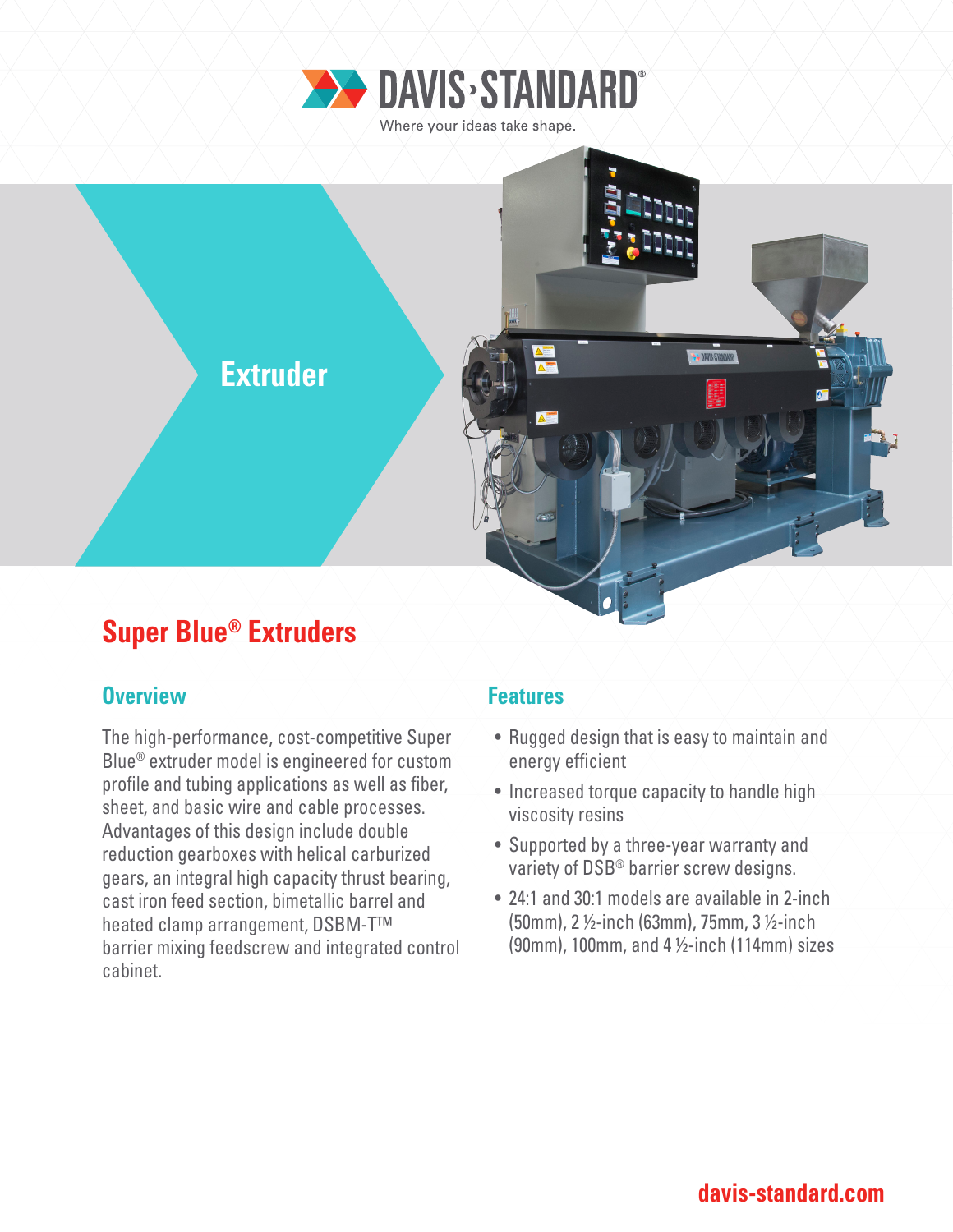

Where your ideas take shape.



# **Super Blue® Extruders**

### **Overview Allen Access 19 Allen Features**

The high-performance, cost-competitive Super Blue® extruder model is engineered for custom profile and tubing applications as well as fiber, sheet, and basic wire and cable processes. Advantages of this design include double reduction gearboxes with helical carburized gears, an integral high capacity thrust bearing, cast iron feed section, bimetallic barrel and heated clamp arrangement, DSBM-T™ barrier mixing feedscrew and integrated control cabinet.

- Rugged design that is easy to maintain and energy efficient
- Increased torque capacity to handle high viscosity resins
- Supported by a three-year warranty and variety of DSB® barrier screw designs.
- 24:1 and 30:1 models are available in 2-inch (50mm), 2 ½-inch (63mm), 75mm, 3 ½-inch (90mm), 100mm, and 4 ½-inch (114mm) sizes

### **davis-standard.com**